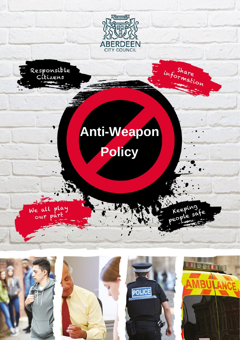



We all play<br>our part

# **Anti-Weapon Policy**









information

Keeping

eopl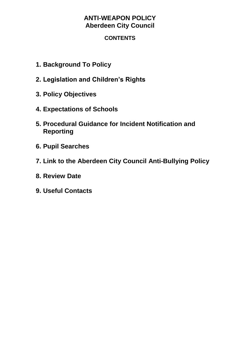## **CONTENTS**

- **1. Background To Policy**
- **2. Legislation and Children's Rights**
- **3. Policy Objectives**
- **4. Expectations of Schools**
- **5. Procedural Guidance for Incident Notification and Reporting**
- **6. Pupil Searches**
- **7. Link to the Aberdeen City Council Anti-Bullying Policy**
- **8. Review Date**
- **9. Useful Contacts**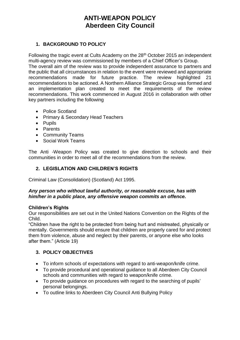## **1. BACKGROUND TO POLICY**

Following the tragic event at Cults Academy on the 28<sup>th</sup> October 2015 an independent multi-agency review was commissioned by members of a Chief Officer's Group.

The overall aim of the review was to provide independent assurance to partners and the public that all circumstances in relation to the event were reviewed and appropriate recommendations made for future practice. The review highlighted 21 recommendations to be actioned. A Northern Alliance Strategic Group was formed and an implementation plan created to meet the requirements of the review recommendations. This work commenced in August 2016 in collaboration with other key partners including the following

- Police Scotland
- Primary & Secondary Head Teachers
- Pupils
- Parents
- Community Teams
- Social Work Teams

The Anti -Weapon Policy was created to give direction to schools and their communities in order to meet all of the recommendations from the review.

## **2. LEGISLATION AND CHILDREN'S RIGHTS**

Criminal Law (Consolidation) (Scotland) Act 1995.

#### *Any person who without lawful authority, or reasonable excuse, has with him/her in a public place, any offensive weapon commits an offence.*

## **Children's Rights**

Our responsibilities are set out in the United Nations Convention on the Rights of the Child.

"Children have the right to be protected from being hurt and mistreated, physically or mentally. Governments should ensure that children are properly cared for and protect them from violence, abuse and neglect by their parents, or anyone else who looks after them." (Article 19)

## **3. POLICY OBJECTIVES**

- To inform schools of expectations with regard to anti-weapon/knife crime.
- To provide procedural and operational guidance to all Aberdeen City Council schools and communities with regard to weapon/knife crime.
- To provide guidance on procedures with regard to the searching of pupils' personal belongings.
- To outline links to Aberdeen City Council Anti Bullying Policy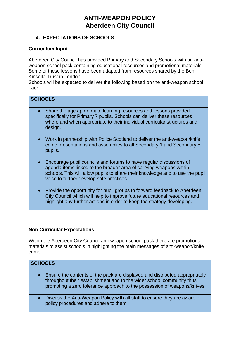## **4. EXPECTATIONS OF SCHOOLS**

#### **Curriculum Input**

Aberdeen City Council has provided Primary and Secondary Schools with an antiweapon school pack containing educational resources and promotional materials. Some of these lessons have been adapted from resources shared by the Ben Kinsella Trust in London.

Schools will be expected to deliver the following based on the anti-weapon school pack –

| <b>SCHOOLS</b> |                                                                                                                                                                                                                                                                       |  |
|----------------|-----------------------------------------------------------------------------------------------------------------------------------------------------------------------------------------------------------------------------------------------------------------------|--|
|                | Share the age appropriate learning resources and lessons provided<br>specifically for Primary 7 pupils. Schools can deliver these resources<br>where and when appropriate to their individual curricular structures and<br>design.                                    |  |
|                | Work in partnership with Police Scotland to deliver the anti-weapon/knife<br>crime presentations and assemblies to all Secondary 1 and Secondary 5<br>pupils.                                                                                                         |  |
|                | Encourage pupil councils and forums to have regular discussions of<br>agenda items linked to the broader area of carrying weapons within<br>schools. This will allow pupils to share their knowledge and to use the pupil<br>voice to further develop safe practices. |  |
|                | Provide the opportunity for pupil groups to forward feedback to Aberdeen<br>City Council which will help to improve future educational resources and<br>highlight any further actions in order to keep the strategy developing.                                       |  |

## **Non-Curricular Expectations**

Within the Aberdeen City Council anti-weapon school pack there are promotional materials to assist schools in highlighting the main messages of anti-weapon/knife crime.

| <b>SCHOOLS</b> |                                                                                                                                                                                                                                  |  |
|----------------|----------------------------------------------------------------------------------------------------------------------------------------------------------------------------------------------------------------------------------|--|
|                | Ensure the contents of the pack are displayed and distributed appropriately<br>throughout their establishment and to the wider school community thus<br>promoting a zero tolerance approach to the possession of weapons/knives. |  |
|                | Discuss the Anti-Weapon Policy with all staff to ensure they are aware of<br>policy procedures and adhere to them.                                                                                                               |  |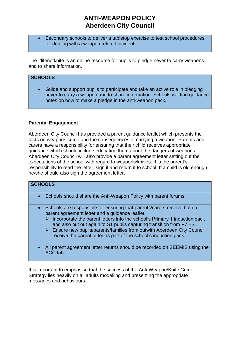Secondary schools to deliver a tabletop exercise to test school procedures for dealing with a weapon related incident.

The #lifenotknife is an online resource for pupils to pledge never to carry weapons and to share information.

#### **SCHOOLS**

• Guide and support pupils to participate and take an active role in pledging never to carry a weapon and to share information. Schools will find guidance notes on how to make a pledge in the anti-weapon pack.

#### **Parental Engagement**

Aberdeen City Council has provided a parent guidance leaflet which presents the facts on weapons crime and the consequences of carrying a weapon. Parents and carers have a responsibility for ensuring that their child receives appropriate guidance which should include educating them about the dangers of weapons. Aberdeen City Council will also provide a parent agreement letter setting out the expectations of the school with regard to weapons/knives. It is the parent's responsibility to read the letter, sign it and return it to school. If a child is old enough he/she should also sign the agreement letter.

| <b>SCHOOLS</b> |                                                                                                                                                                                                                                                                                                                                                                                                                                                  |  |
|----------------|--------------------------------------------------------------------------------------------------------------------------------------------------------------------------------------------------------------------------------------------------------------------------------------------------------------------------------------------------------------------------------------------------------------------------------------------------|--|
|                |                                                                                                                                                                                                                                                                                                                                                                                                                                                  |  |
|                | • Schools should share the Anti-Weapon Policy with parent forums                                                                                                                                                                                                                                                                                                                                                                                 |  |
| $\bullet$      | Schools are responsible for ensuring that parents/carers receive both a<br>parent agreement letter and a guidance leaflet.<br>$\triangleright$ Incorporate the parent letters into the school's Primary 1 induction pack<br>and also put out again to S1 pupils capturing transition from P7-S1.<br>> Ensure new pupils/parents/families from outwith Aberdeen City Council<br>receive the parent letter as part of the school's induction pack. |  |

• All parent agreement letter returns should be recorded on SEEMIS using the ACC tab.

It is important to emphasise that the success of the Anti-Weapon/Knife Crime Strategy lies heavily on all adults modelling and presenting the appropriate messages and behaviours.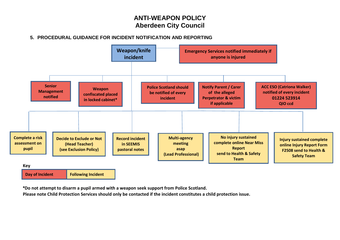## **5. PROCEDURAL GUIDANCE FOR INCIDENT NOTIFICATION AND REPORTING**



**\*Do not attempt to disarm a pupil armed with a weapon seek support from Police Scotland.**

**Please note Child Protection Services should only be contacted if the incident constitutes a child protection issue.**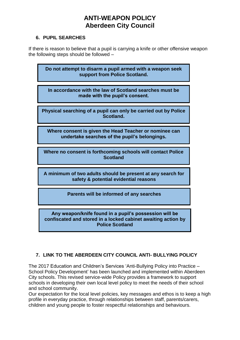## **6. PUPIL SEARCHES**

If there is reason to believe that a pupil is carrying a knife or other offensive weapon the following steps should be followed –

**Do not attempt to disarm a pupil armed with a weapon seek support from Police Scotland. In accordance with the law of Scotland searches must be made with the pupil's consent.**

**Physical searching of a pupil can only be carried out by Police Scotland.**

**Where consent is given the Head Teacher or nominee can undertake searches of the pupil's belongings.**

**Where no consent is forthcoming schools will contact Police Scotland**

**A minimum of two adults should be present at any search for safety & potential evidential reasons**

**Parents will be informed of any searches**

**Any weapon/knife found in a pupil's possession will be confiscated and stored in a locked cabinet awaiting action by Police Scotland**

## **7. LINK TO THE ABERDEEN CITY COUNCIL ANTI- BULLYING POLICY**

The 2017 Education and Children's Services 'Anti-Bullying Policy into Practice – School Policy Development' has been launched and implemented within Aberdeen City schools. This revised service-wide Policy provides a framework to support schools in developing their own local level policy to meet the needs of their school and school community.

Our expectation for the local level policies, key messages and ethos is to keep a high profile in everyday practice, through relationships between staff, parents/carers, children and young people to foster respectful relationships and behaviours.